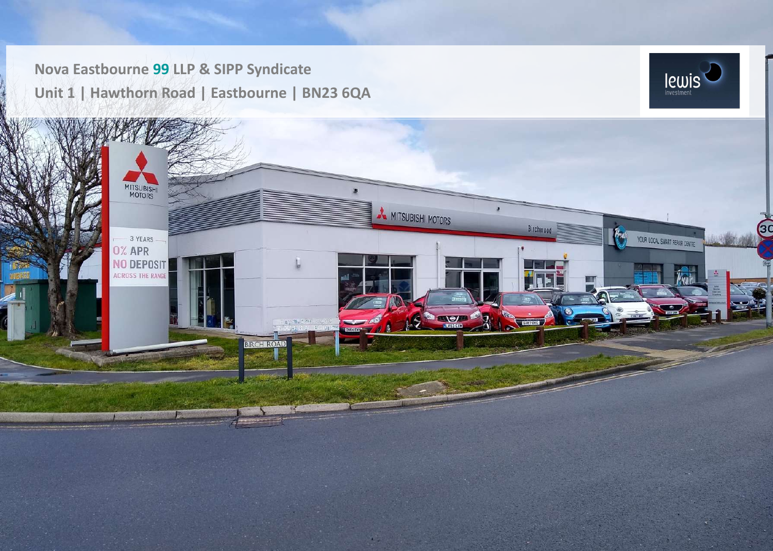**Nova Eastbourne 99 LLP & SIPP Syndicate Unit 1 | Hawthorn Road | Eastbourne | BN23 6QA**



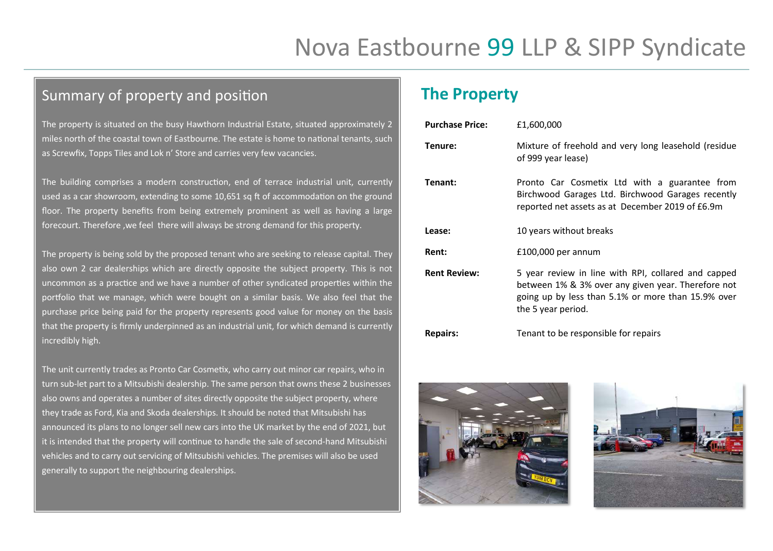# Summary of property and position

The property is situated on the busy Hawthorn Industrial Estate, situated approximately 2 miles north of the coastal town of Eastbourne. The estate is home to national tenants, such as Screwfix, Topps Tiles and Lok n' Store and carries very few vacancies.

The building comprises a modern construction, end of terrace industrial unit, currently used as a car showroom, extending to some 10,651 sq ft of accommodation on the ground floor. The property benefits from being extremely prominent as well as having a large forecourt. Therefore ,we feel there will always be strong demand for this property.

The property is being sold by the proposed tenant who are seeking to release capital. They also own 2 car dealerships which are directly opposite the subject property. This is not uncommon as a practice and we have a number of other syndicated properties within the portfolio that we manage, which were bought on a similar basis. We also feel that the purchase price being paid for the property represents good value for money on the basis that the property is firmly underpinned as an industrial unit, for which demand is currently incredibly high.

The unit currently trades as Pronto Car Cosmetix, who carry out minor car repairs, who in turn sub-let part to a Mitsubishi dealership. The same person that owns these 2 businesses also owns and operates a number of sites directly opposite the subject property, where they trade as Ford, Kia and Skoda dealerships. It should be noted that Mitsubishi has announced its plans to no longer sell new cars into the UK market by the end of 2021, but it is intended that the property will continue to handle the sale of second-hand Mitsubishi vehicles and to carry out servicing of Mitsubishi vehicles. The premises will also be used generally to support the neighbouring dealerships.

# **The Property**

| <b>Purchase Price:</b> | £1,600,000                                                                                                                                                                            |
|------------------------|---------------------------------------------------------------------------------------------------------------------------------------------------------------------------------------|
| Tenure:                | Mixture of freehold and very long leasehold (residue<br>of 999 year lease)                                                                                                            |
| Tenant:                | Pronto Car Cosmetix Ltd with a guarantee from<br>Birchwood Garages Ltd. Birchwood Garages recently<br>reported net assets as at December 2019 of £6.9m                                |
| Lease:                 | 10 years without breaks                                                                                                                                                               |
| Rent:                  | £100,000 per annum                                                                                                                                                                    |
| <b>Rent Review:</b>    | 5 year review in line with RPI, collared and capped<br>between 1% & 3% over any given year. Therefore not<br>going up by less than 5.1% or more than 15.9% over<br>the 5 year period. |
| <b>Repairs:</b>        | Tenant to be responsible for repairs                                                                                                                                                  |



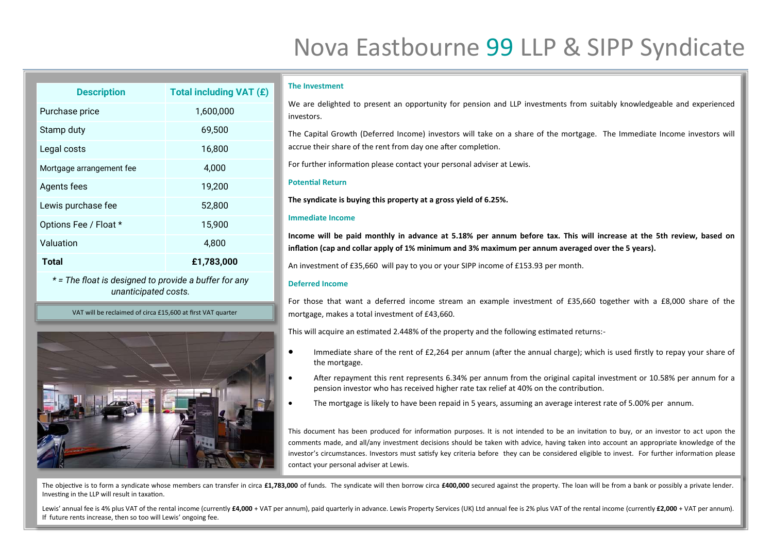# Nova Eastbourne 99 LLP & SIPP Syndicate

| <b>Description</b>                                    | <b>Total including VAT (£)</b> |  |
|-------------------------------------------------------|--------------------------------|--|
| Purchase price                                        | 1,600,000                      |  |
| Stamp duty                                            | 69,500                         |  |
| Legal costs                                           | 16,800                         |  |
| Mortgage arrangement fee                              | 4,000                          |  |
| Agents fees                                           | 19,200                         |  |
| Lewis purchase fee                                    | 52,800                         |  |
| Options Fee / Float *                                 | 15,900                         |  |
| Valuation                                             | 4,800                          |  |
| <b>Total</b>                                          | £1,783,000                     |  |
| * = The float is designed to provide a buffer for any |                                |  |

*unanticipated costs.*

VAT will be reclaimed of circa £15,600 at first VAT quarter



#### **The Investment**

We are delighted to present an opportunity for pension and LLP investments from suitably knowledgeable and experienced investors.

The Capital Growth (Deferred Income) investors will take on a share of the mortgage. The Immediate Income investors will accrue their share of the rent from day one after completion.

For further information please contact your personal adviser at Lewis.

#### **Potential Return**

**The syndicate is buying this property at a gross yield of 6.25%.** 

#### **Immediate Income**

**Income will be paid monthly in advance at 5.18% per annum before tax. This will increase at the 5th review, based on inflation (cap and collar apply of 1% minimum and 3% maximum per annum averaged over the 5 years).**

An investment of £35,660 will pay to you or your SIPP income of £153.93 per month.

### **Deferred Income**

For those that want a deferred income stream an example investment of £35,660 together with a £8,000 share of the mortgage, makes a total investment of £43,660.

This will acquire an estimated 2.448% of the property and the following estimated returns:-

- Immediate share of the rent of £2,264 per annum (after the annual charge); which is used firstly to repay your share of the mortgage.
- After repayment this rent represents 6.34% per annum from the original capital investment or 10.58% per annum for a pension investor who has received higher rate tax relief at 40% on the contribution.
- The mortgage is likely to have been repaid in 5 years, assuming an average interest rate of 5.00% per annum.

This document has been produced for information purposes. It is not intended to be an invitation to buy, or an investor to act upon the comments made, and all/any investment decisions should be taken with advice, having taken into account an appropriate knowledge of the investor's circumstances. Investors must satisfy key criteria before they can be considered eligible to invest. For further information please contact your personal adviser at Lewis.

The objective is to form a syndicate whose members can transfer in circa £1,783,000 of funds. The syndicate will then borrow circa £400,000 secured against the property. The loan will be from a bank or possibly a private l Investing in the LLP will result in taxation.

Lewis' annual fee is 4% plus VAT of the rental income (currently £4,000 + VAT per annum), paid quarterly in advance. Lewis Property Services (UK) Ltd annual fee is 2% plus VAT of the rental income (currently £2,000 + VAT p If future rents increase, then so too will Lewis' ongoing fee.